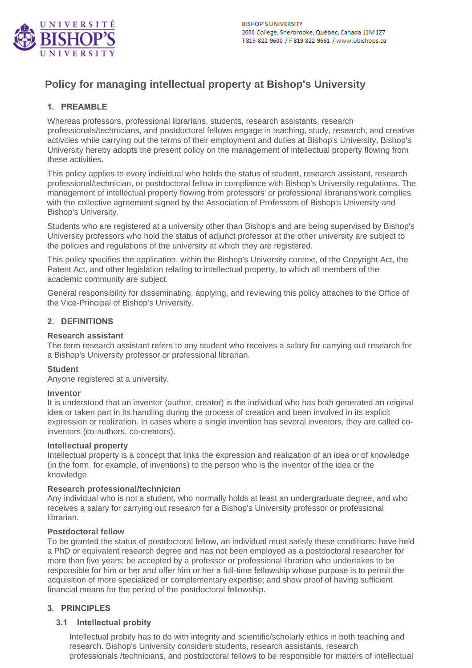

# **Policy for managing intellectual property at Bishop's University**

# **1. PREAMBLE**

Whereas professors, professional librarians, students, research assistants, research professionals/technicians, and postdoctoral fellows engage in teaching, study, research, and creative activities while carrying out the terms of their employment and duties at Bishop's University, Bishop's University hereby adopts the present policy on the management of intellectual property flowing from these activities.

This policy applies to every individual who holds the status of student, research assistant, research professional/technician, or postdoctoral fellow in compliance with Bishop's University regulations. The management of intellectual property flowing from professors' or professional librarians'work complies with the collective agreement signed by the Association of Professors of Bishop's University and Bishop's University.

Students who are registered at a university other than Bishop's and are being supervised by Bishop's University professors who hold the status of adjunct professor at the other university are subject to the policies and regulations of the university at which they are registered.

This policy specifies the application, within the Bishop's University context, of the Copyright Act, the Patent Act, and other legislation relating to intellectual property, to which all members of the academic community are subject.

General responsibility for disseminating, applying, and reviewing this policy attaches to the Office of the Vice-Principal of Bishop's University.

#### **2. DEFINITIONS**

#### **Research assistant**

The term research assistant refers to any student who receives a salary for carrying out research for a Bishop's University professor or professional librarian.

#### **Student**

Anyone registered at a university.

#### **Inventor**

It is understood that an inventor (author, creator) is the individual who has both generated an original idea or taken part in its handling during the process of creation and been involved in its explicit expression or realization. In cases where a single invention has several inventors, they are called coinventors (co-authors, co-creators).

#### **Intellectual property**

Intellectual property is a concept that links the expression and realization of an idea or of knowledge (in the form, for example, of inventions) to the person who is the inventor of the idea or the knowledge.

#### **Research professional/technician**

Any individual who is not a student, who normally holds at least an undergraduate degree, and who receives a salary for carrying out research for a Bishop's University professor or professional librarian.

#### **Postdoctoral fellow**

To be granted the status of postdoctoral fellow, an individual must satisfy these conditions: have held a PhD or equivalent research degree and has not been employed as a postdoctoral researcher for more than five years; be accepted by a professor or professional librarian who undertakes to be responsible for him or her and offer him or her a full-time fellowship whose purpose is to permit the acquisition of more specialized or complementary expertise; and show proof of having sufficient financial means for the period of the postdoctoral fellowship.

#### **3. PRINCIPLES**

#### **3.1 Intellectual probity**

Intellectual probity has to do with integrity and scientific/scholarly ethics in both teaching and research. Bishop's University considers students, research assistants, research professionals /technicians, and postdoctoral fellows to be responsible for matters of intellectual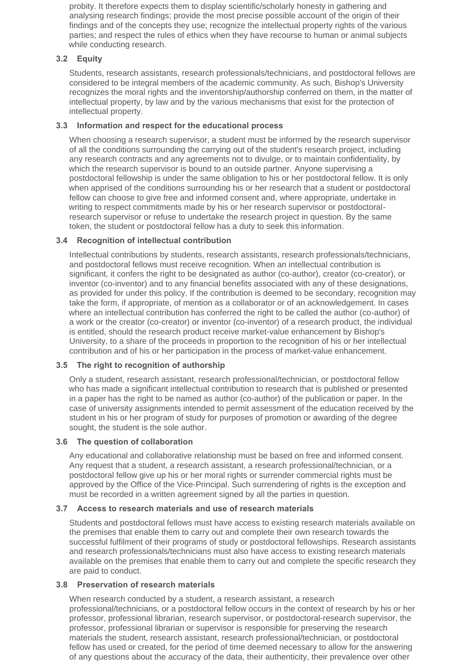probity. It therefore expects them to display scientific/scholarly honesty in gathering and analysing research findings; provide the most precise possible account of the origin of their findings and of the concepts they use; recognize the intellectual property rights of the various parties; and respect the rules of ethics when they have recourse to human or animal subjects while conducting research.

# **3.2 Equity**

Students, research assistants, research professionals/technicians, and postdoctoral fellows are considered to be integral members of the academic community. As such, Bishop's University recognizes the moral rights and the inventorship/authorship conferred on them, in the matter of intellectual property, by law and by the various mechanisms that exist for the protection of intellectual property.

# **3.3 Information and respect for the educational process**

When choosing a research supervisor, a student must be informed by the research supervisor of all the conditions surrounding the carrying out of the student's research project, including any research contracts and any agreements not to divulge, or to maintain confidentiality, by which the research supervisor is bound to an outside partner. Anyone supervising a postdoctoral fellowship is under the same obligation to his or her postdoctoral fellow. It is only when apprised of the conditions surrounding his or her research that a student or postdoctoral fellow can choose to give free and informed consent and, where appropriate, undertake in writing to respect commitments made by his or her research supervisor or postdoctoralresearch supervisor or refuse to undertake the research project in question. By the same token, the student or postdoctoral fellow has a duty to seek this information.

# **3.4 Recognition of intellectual contribution**

Intellectual contributions by students, research assistants, research professionals/technicians, and postdoctoral fellows must receive recognition. When an intellectual contribution is significant, it confers the right to be designated as author (co-author), creator (co-creator), or inventor (co-inventor) and to any financial benefits associated with any of these designations, as provided for under this policy. If the contribution is deemed to be secondary, recognition may take the form, if appropriate, of mention as a collaborator or of an acknowledgement. In cases where an intellectual contribution has conferred the right to be called the author (co-author) of a work or the creator (co-creator) or inventor (co-inventor) of a research product, the individual is entitled, should the research product receive market-value enhancement by Bishop's University, to a share of the proceeds in proportion to the recognition of his or her intellectual contribution and of his or her participation in the process of market-value enhancement.

# **3.5 The right to recognition of authorship**

Only a student, research assistant, research professional/technician, or postdoctoral fellow who has made a significant intellectual contribution to research that is published or presented in a paper has the right to be named as author (co-author) of the publication or paper. In the case of university assignments intended to permit assessment of the education received by the student in his or her program of study for purposes of promotion or awarding of the degree sought, the student is the sole author.

# **3.6 The question of collaboration**

Any educational and collaborative relationship must be based on free and informed consent. Any request that a student, a research assistant, a research professional/technician, or a postdoctoral fellow give up his or her moral rights or surrender commercial rights must be approved by the Office of the Vice-Principal. Such surrendering of rights is the exception and must be recorded in a written agreement signed by all the parties in question.

# **3.7 Access to research materials and use of research materials**

Students and postdoctoral fellows must have access to existing research materials available on the premises that enable them to carry out and complete their own research towards the successful fulfilment of their programs of study or postdoctoral fellowships. Research assistants and research professionals/technicians must also have access to existing research materials available on the premises that enable them to carry out and complete the specific research they are paid to conduct.

# **3.8 Preservation of research materials**

When research conducted by a student, a research assistant, a research professional/technicians, or a postdoctoral fellow occurs in the context of research by his or her professor, professional librarian, research supervisor, or postdoctoral-research supervisor, the professor, professional librarian or supervisor is responsible for preserving the research materials the student, research assistant, research professional/technician, or postdoctoral fellow has used or created, for the period of time deemed necessary to allow for the answering of any questions about the accuracy of the data, their authenticity, their prevalence over other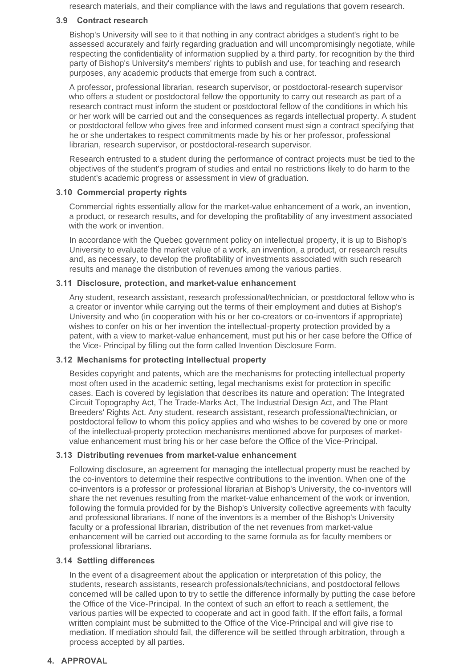research materials, and their compliance with the laws and regulations that govern research.

#### **3.9 Contract research**

Bishop's University will see to it that nothing in any contract abridges a student's right to be assessed accurately and fairly regarding graduation and will uncompromisingly negotiate, while respecting the confidentiality of information supplied by a third party, for recognition by the third party of Bishop's University's members' rights to publish and use, for teaching and research purposes, any academic products that emerge from such a contract.

A professor, professional librarian, research supervisor, or postdoctoral-research supervisor who offers a student or postdoctoral fellow the opportunity to carry out research as part of a research contract must inform the student or postdoctoral fellow of the conditions in which his or her work will be carried out and the consequences as regards intellectual property. A student or postdoctoral fellow who gives free and informed consent must sign a contract specifying that he or she undertakes to respect commitments made by his or her professor, professional librarian, research supervisor, or postdoctoral-research supervisor.

Research entrusted to a student during the performance of contract projects must be tied to the objectives of the student's program of studies and entail no restrictions likely to do harm to the student's academic progress or assessment in view of graduation.

#### **3.10 Commercial property rights**

Commercial rights essentially allow for the market-value enhancement of a work, an invention, a product, or research results, and for developing the profitability of any investment associated with the work or invention.

In accordance with the Quebec government policy on intellectual property, it is up to Bishop's University to evaluate the market value of a work, an invention, a product, or research results and, as necessary, to develop the profitability of investments associated with such research results and manage the distribution of revenues among the various parties.

# **3.11 Disclosure, protection, and market-value enhancement**

Any student, research assistant, research professional/technician, or postdoctoral fellow who is a creator or inventor while carrying out the terms of their employment and duties at Bishop's University and who (in cooperation with his or her co-creators or co-inventors if appropriate) wishes to confer on his or her invention the intellectual-property protection provided by a patent, with a view to market-value enhancement, must put his or her case before the Office of the Vice- Principal by filling out the form called Invention Disclosure Form.

# **3.12 Mechanisms for protecting intellectual property**

Besides copyright and patents, which are the mechanisms for protecting intellectual property most often used in the academic setting, legal mechanisms exist for protection in specific cases. Each is covered by legislation that describes its nature and operation: The Integrated Circuit Topography Act, The Trade-Marks Act, The Industrial Design Act, and The Plant Breeders' Rights Act. Any student, research assistant, research professional/technician, or postdoctoral fellow to whom this policy applies and who wishes to be covered by one or more of the intellectual-property protection mechanisms mentioned above for purposes of marketvalue enhancement must bring his or her case before the Office of the Vice-Principal.

# **3.13 Distributing revenues from market-value enhancement**

Following disclosure, an agreement for managing the intellectual property must be reached by the co-inventors to determine their respective contributions to the invention. When one of the co-inventors is a professor or professional librarian at Bishop's University, the co-inventors will share the net revenues resulting from the market-value enhancement of the work or invention, following the formula provided for by the Bishop's University collective agreements with faculty and professional librarians. If none of the inventors is a member of the Bishop's University faculty or a professional librarian, distribution of the net revenues from market-value enhancement will be carried out according to the same formula as for faculty members or professional librarians.

# **3.14 Settling differences**

In the event of a disagreement about the application or interpretation of this policy, the students, research assistants, research professionals/technicians, and postdoctoral fellows concerned will be called upon to try to settle the difference informally by putting the case before the Office of the Vice-Principal. In the context of such an effort to reach a settlement, the various parties will be expected to cooperate and act in good faith. If the effort fails, a formal written complaint must be submitted to the Office of the Vice-Principal and will give rise to mediation. If mediation should fail, the difference will be settled through arbitration, through a process accepted by all parties.

# **4. APPROVAL**